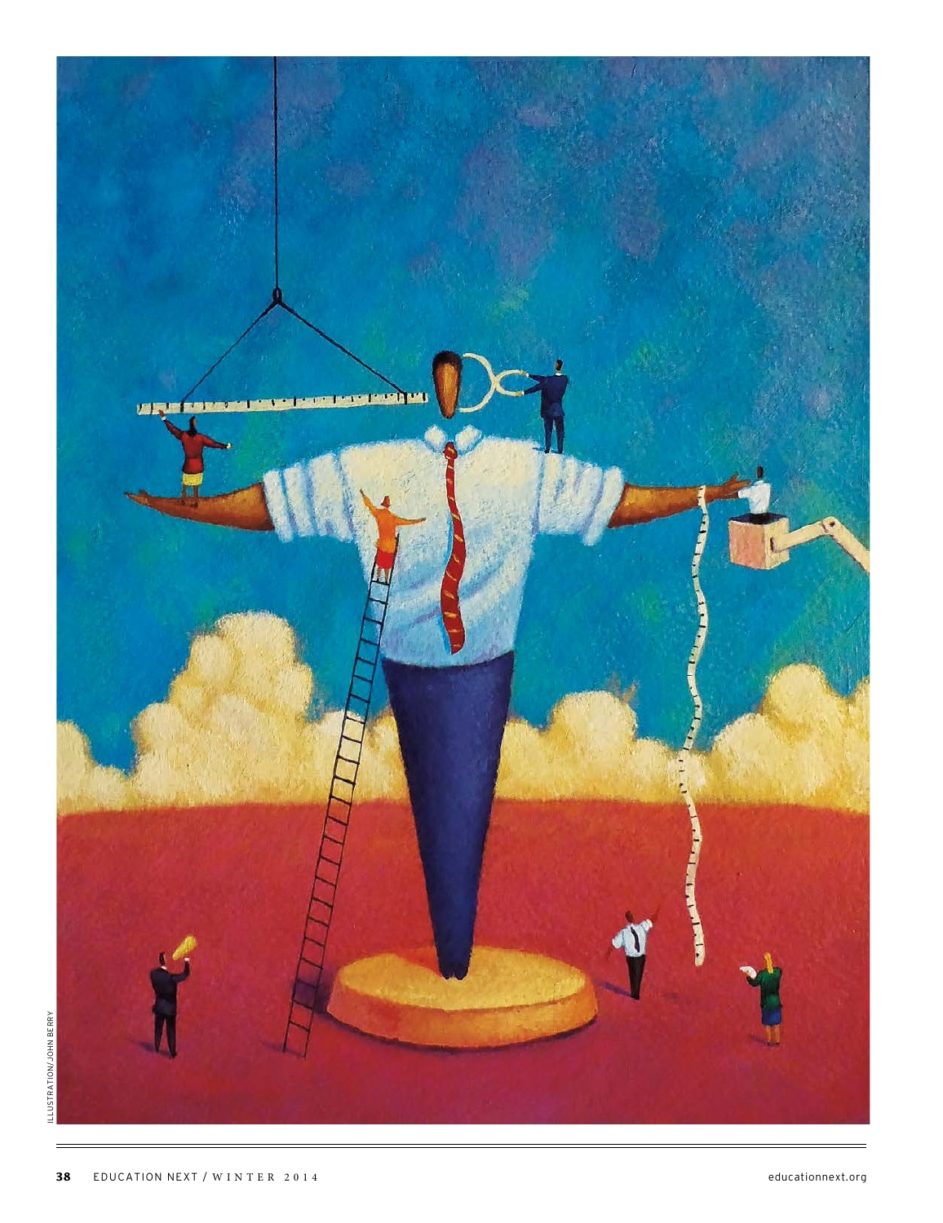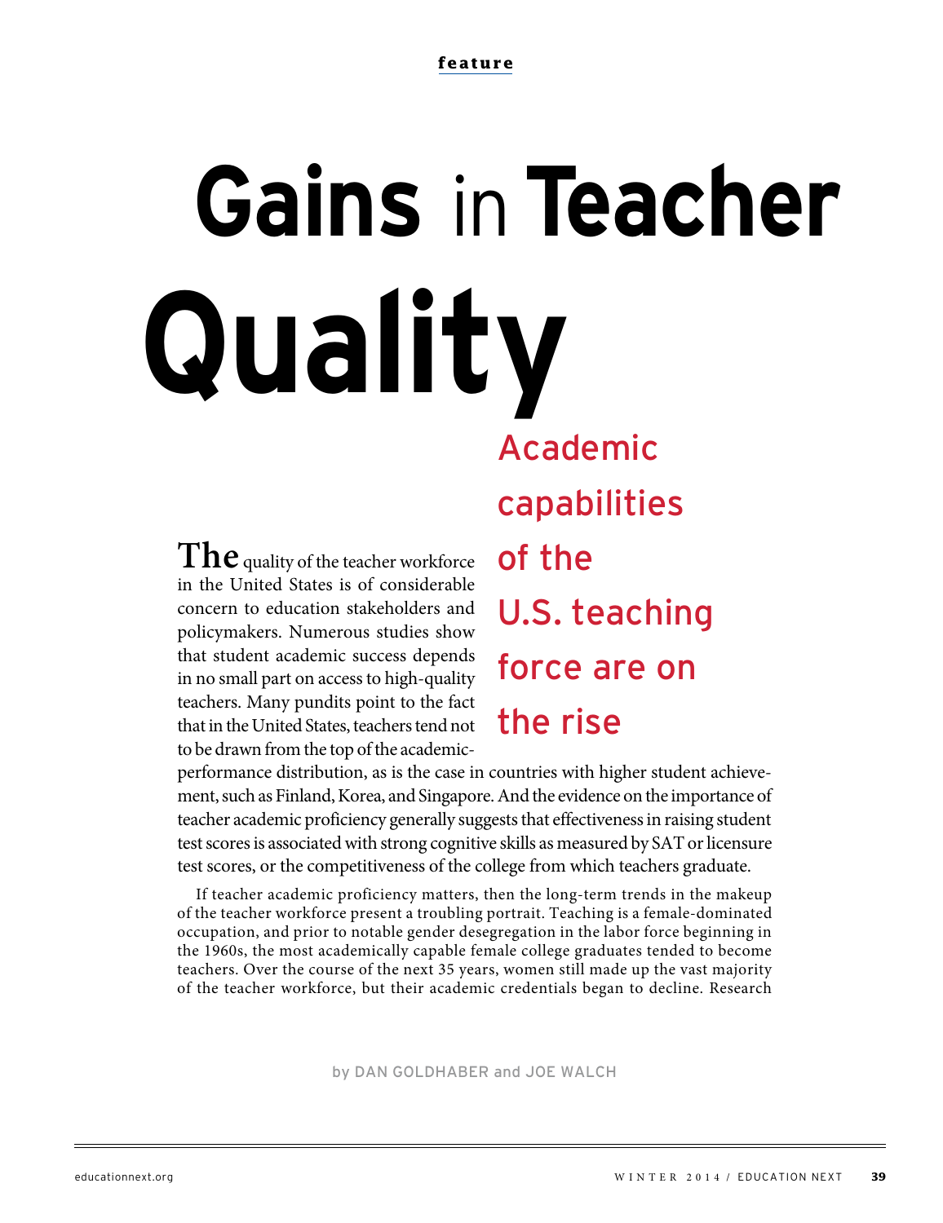# Academic  **Gains** in**Teacher Quality**

**The** quality of the teacher workforce in the United States is of considerable concern to education stakeholders and policymakers. Numerous studies show that student academic success depends in no small part on access to high-quality teachers. Many pundits point to the fact that in the United States, teachers tend not to be drawn from the top of the academiccapabilities of the U.S. teaching force are on the rise

performance distribution, as is the case in countries with higher student achievement, such as Finland, Korea, and Singapore. And the evidence on the importance of teacher academic proficiency generally suggests that effectiveness in raising student test scores is associated with strong cognitive skills as measured by SAT or licensure test scores, or the competitiveness of the college from which teachers graduate.

If teacher academic proficiency matters, then the long-term trends in the makeup of the teacher workforce present a troubling portrait. Teaching is a female-dominated occupation, and prior to notable gender desegregation in the labor force beginning in the 1960s, the most academically capable female college graduates tended to become teachers. Over the course of the next 35 years, women still made up the vast majority of the teacher workforce, but their academic credentials began to decline. Research

by DAN GOLDHABER and JOE WALCH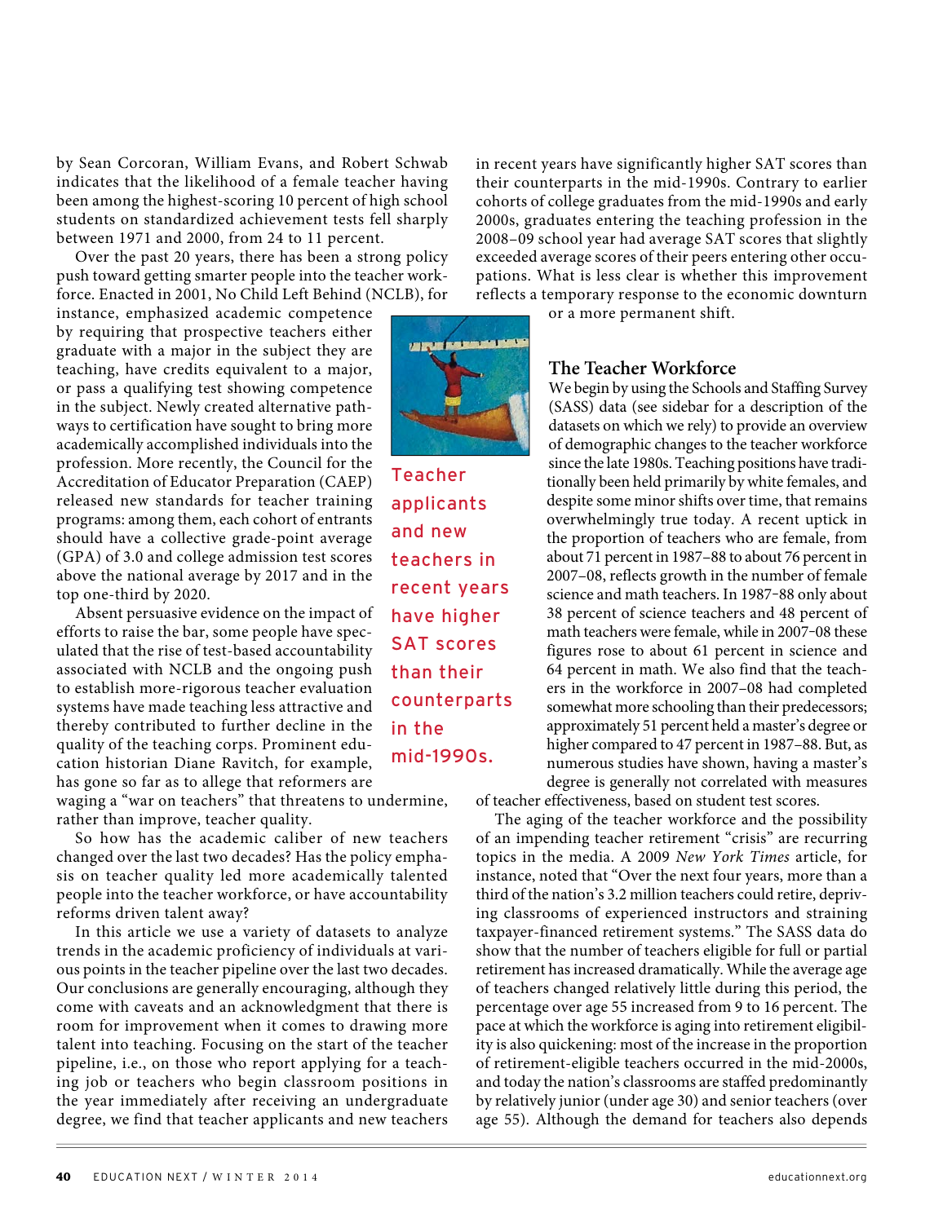by Sean Corcoran, William Evans, and Robert Schwab indicates that the likelihood of a female teacher having been among the highest-scoring 10 percent of high school students on standardized achievement tests fell sharply between 1971 and 2000, from 24 to 11 percent.

Over the past 20 years, there has been a strong policy push toward getting smarter people into the teacher workforce. Enacted in 2001, No Child Left Behind (NCLB), for

instance, emphasized academic competence by requiring that prospective teachers either graduate with a major in the subject they are teaching, have credits equivalent to a major, or pass a qualifying test showing competence in the subject. Newly created alternative pathways to certification have sought to bring more academically accomplished individuals into the profession. More recently, the Council for the Accreditation of Educator Preparation (CAEP) released new standards for teacher training programs: among them, each cohort of entrants should have a collective grade-point average (GPA) of 3.0 and college admission test scores above the national average by 2017 and in the top one-third by 2020.

Absent persuasive evidence on the impact of efforts to raise the bar, some people have speculated that the rise of test-based accountability associated with NCLB and the ongoing push to establish more-rigorous teacher evaluation systems have made teaching less attractive and thereby contributed to further decline in the quality of the teaching corps. Prominent education historian Diane Ravitch, for example, has gone so far as to allege that reformers are

waging a "war on teachers" that threatens to undermine, rather than improve, teacher quality.

So how has the academic caliber of new teachers changed over the last two decades? Has the policy emphasis on teacher quality led more academically talented people into the teacher workforce, or have accountability reforms driven talent away?

In this article we use a variety of datasets to analyze trends in the academic proficiency of individuals at various points in the teacher pipeline over the last two decades. Our conclusions are generally encouraging, although they come with caveats and an acknowledgment that there is room for improvement when it comes to drawing more talent into teaching. Focusing on the start of the teacher pipeline, i.e., on those who report applying for a teaching job or teachers who begin classroom positions in the year immediately after receiving an undergraduate degree, we find that teacher applicants and new teachers

in recent years have significantly higher SAT scores than their counterparts in the mid-1990s. Contrary to earlier cohorts of college graduates from the mid-1990s and early 2000s, graduates entering the teaching profession in the 2008–09 school year had average SAT scores that slightly exceeded average scores of their peers entering other occupations. What is less clear is whether this improvement reflects a temporary response to the economic downturn

or a more permanent shift.



Teacher applicants and new teachers in recent years have higher SAT scores than their counterparts in the mid-1990s.

### **The Teacher Workforce**

We begin by using the Schools and Staffing Survey (SASS) data (see sidebar for a description of the datasets on which we rely) to provide an overview of demographic changes to the teacher workforce since the late 1980s. Teaching positions have traditionally been held primarily by white females, and despite some minor shifts over time, that remains overwhelmingly true today. A recent uptick in the proportion of teachers who are female, from about 71 percent in 1987–88 to about 76 percent in 2007–08, reflects growth in the number of female science and math teachers. In 1987-88 only about 38 percent of science teachers and 48 percent of math teachers were female, while in 2007-08 these figures rose to about 61 percent in science and 64 percent in math. We also find that the teachers in the workforce in 2007–08 had completed somewhat more schooling than their predecessors; approximately 51 percent held a master's degree or higher compared to 47 percent in 1987–88. But, as numerous studies have shown, having a master's degree is generally not correlated with measures

of teacher effectiveness, based on student test scores.

The aging of the teacher workforce and the possibility of an impending teacher retirement "crisis" are recurring topics in the media. A 2009 New York Times article, for instance, noted that "Over the next four years, more than a third of the nation's 3.2 million teachers could retire, depriving classrooms of experienced instructors and straining taxpayer-financed retirement systems." The SASS data do show that the number of teachers eligible for full or partial retirement has increased dramatically. While the average age of teachers changed relatively little during this period, the percentage over age 55 increased from 9 to 16 percent. The pace at which the workforce is aging into retirement eligibility is also quickening: most of the increase in the proportion of retirement-eligible teachers occurred in the mid-2000s, and today the nation's classrooms are staffed predominantly by relatively junior (under age 30) and senior teachers (over age 55). Although the demand for teachers also depends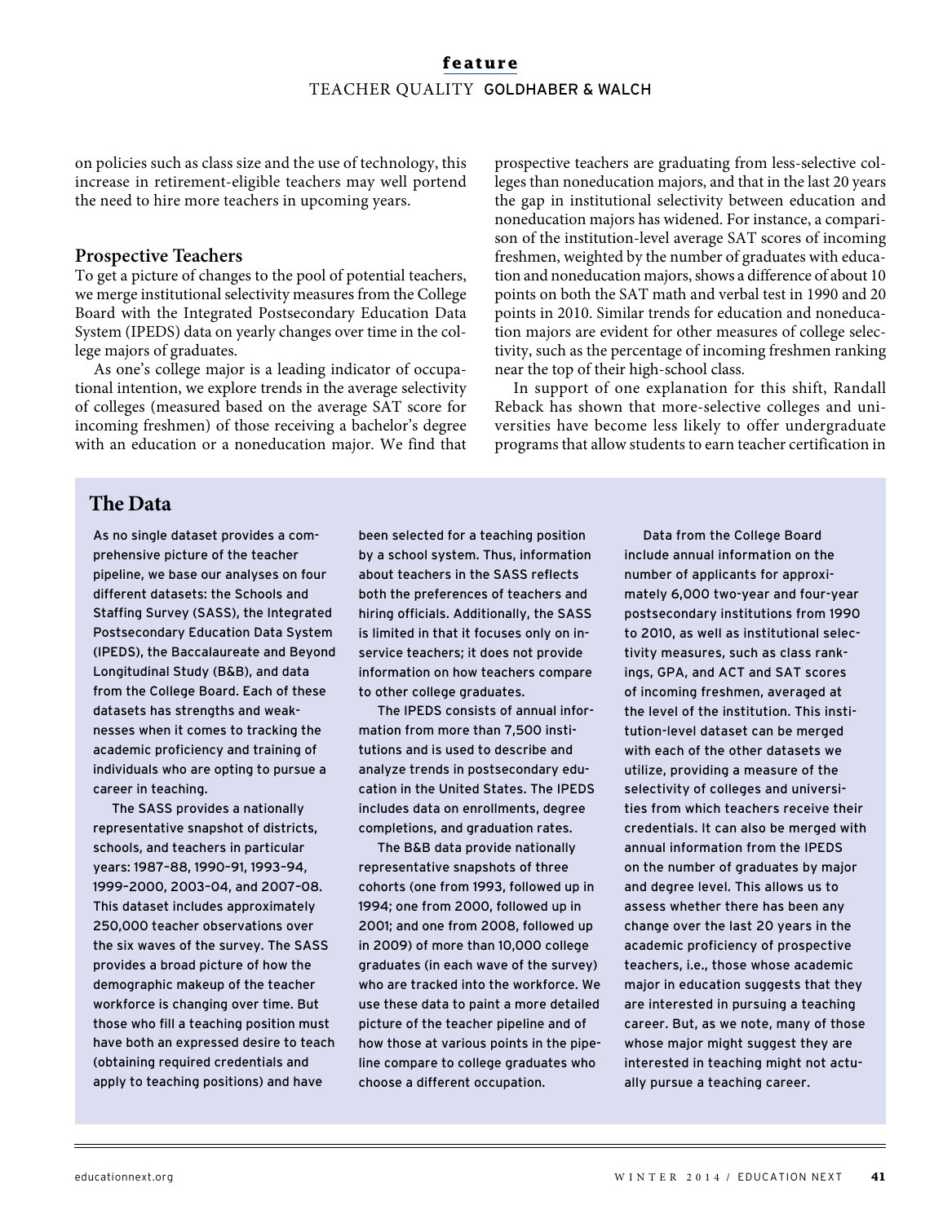# **feature** TEACHER QUALITY GOLDHABER & WALCH

on policies such as class size and the use of technology, this increase in retirement-eligible teachers may well portend the need to hire more teachers in upcoming years.

### **Prospective Teachers**

To get a picture of changes to the pool of potential teachers, we merge institutional selectivity measures from the College Board with the Integrated Postsecondary Education Data System (IPEDS) data on yearly changes over time in the college majors of graduates.

As one's college major is a leading indicator of occupational intention, we explore trends in the average selectivity of colleges (measured based on the average SAT score for incoming freshmen) of those receiving a bachelor's degree with an education or a noneducation major. We find that

prospective teachers are graduating from less-selective colleges than noneducation majors, and that in the last 20 years the gap in institutional selectivity between education and noneducation majors has widened. For instance, a comparison of the institution-level average SAT scores of incoming freshmen, weighted by the number of graduates with education and noneducation majors, shows a difference of about 10 points on both the SAT math and verbal test in 1990 and 20 points in 2010. Similar trends for education and noneducation majors are evident for other measures of college selectivity, such as the percentage of incoming freshmen ranking near the top of their high-school class.

In support of one explanation for this shift, Randall Reback has shown that more-selective colleges and universities have become less likely to offer undergraduate programs that allow students to earn teacher certification in

### **The Data**

As no single dataset provides a comprehensive picture of the teacher pipeline, we base our analyses on four different datasets: the Schools and Staffing Survey (SASS), the Integrated Postsecondary Education Data System (IPEDS), the Baccalaureate and Beyond Longitudinal Study (B&B), and data from the College Board. Each of these datasets has strengths and weaknesses when it comes to tracking the academic proficiency and training of individuals who are opting to pursue a career in teaching.

The SASS provides a nationally representative snapshot of districts, schools, and teachers in particular years: 1987–88, 1990–91, 1993–94, 1999–2000, 2003–04, and 2007–08. This dataset includes approximately 250,000 teacher observations over the six waves of the survey. The SASS provides a broad picture of how the demographic makeup of the teacher workforce is changing over time. But those who fill a teaching position must have both an expressed desire to teach (obtaining required credentials and apply to teaching positions) and have

been selected for a teaching position by a school system. Thus, information about teachers in the SASS reflects both the preferences of teachers and hiring officials. Additionally, the SASS is limited in that it focuses only on inservice teachers; it does not provide information on how teachers compare to other college graduates.

The IPEDS consists of annual information from more than 7,500 institutions and is used to describe and analyze trends in postsecondary education in the United States. The IPEDS includes data on enrollments, degree completions, and graduation rates.

The B&B data provide nationally representative snapshots of three cohorts (one from 1993, followed up in 1994; one from 2000, followed up in 2001; and one from 2008, followed up in 2009) of more than 10,000 college graduates (in each wave of the survey) who are tracked into the workforce. We use these data to paint a more detailed picture of the teacher pipeline and of how those at various points in the pipeline compare to college graduates who choose a different occupation.

Data from the College Board include annual information on the number of applicants for approximately 6,000 two-year and four-year postsecondary institutions from 1990 to 2010, as well as institutional selectivity measures, such as class rankings, GPA, and ACT and SAT scores of incoming freshmen, averaged at the level of the institution. This institution-level dataset can be merged with each of the other datasets we utilize, providing a measure of the selectivity of colleges and universities from which teachers receive their credentials. It can also be merged with annual information from the IPEDS on the number of graduates by major and degree level. This allows us to assess whether there has been any change over the last 20 years in the academic proficiency of prospective teachers, i.e., those whose academic major in education suggests that they are interested in pursuing a teaching career. But, as we note, many of those whose major might suggest they are interested in teaching might not actually pursue a teaching career.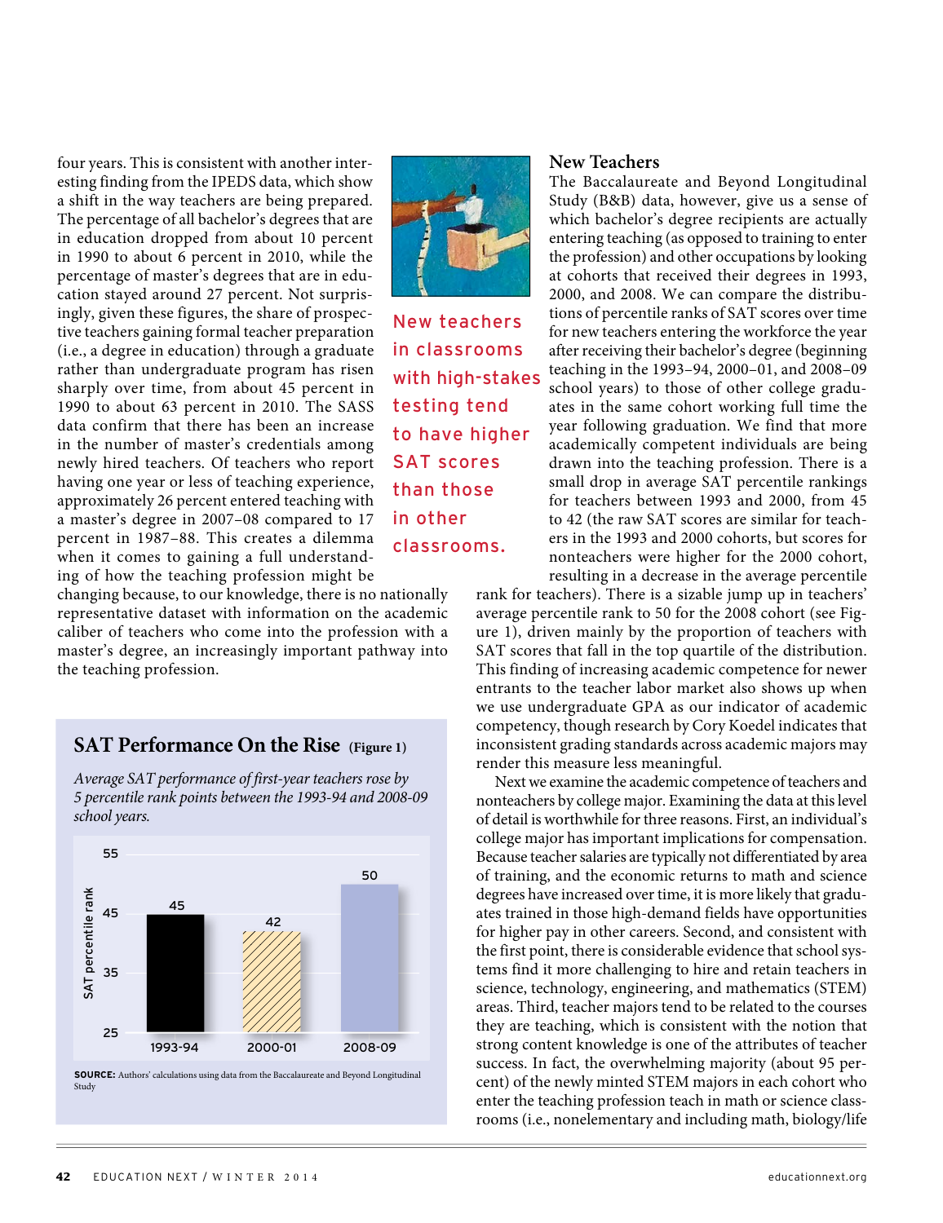four years. This is consistent with another interesting finding from the IPEDS data, which show a shift in the way teachers are being prepared. The percentage of all bachelor's degrees that are in education dropped from about 10 percent in 1990 to about 6 percent in 2010, while the percentage of master's degrees that are in education stayed around 27 percent. Not surprisingly, given these figures, the share of prospective teachers gaining formal teacher preparation (i.e., a degree in education) through a graduate rather than undergraduate program has risen sharply over time, from about 45 percent in 1990 to about 63 percent in 2010. The SASS data confirm that there has been an increase in the number of master's credentials among newly hired teachers. Of teachers who report having one year or less of teaching experience, approximately 26 percent entered teaching with a master's degree in 2007–08 compared to 17 percent in 1987–88. This creates a dilemma when it comes to gaining a full understanding of how the teaching profession might be

New teachers in classrooms with high-stakes testing tend to have higher SAT scores than those in other classrooms.

changing because, to our knowledge, there is no nationally representative dataset with information on the academic caliber of teachers who come into the profession with a master's degree, an increasingly important pathway into the teaching profession.



Average SAT performance of first-year teachers rose by 5 percentile rank points between the 1993-94 and 2008-09 school years.



**SOURCE:** Authors' calculations using data from the Baccalaureate and Beyond Longitudinal Study

### **New Teachers**

The Baccalaureate and Beyond Longitudinal Study (B&B) data, however, give us a sense of which bachelor's degree recipients are actually entering teaching (as opposed to training to enter the profession) and other occupations by looking at cohorts that received their degrees in 1993, 2000, and 2008. We can compare the distributions of percentile ranks of SAT scores over time for new teachers entering the workforce the year after receiving their bachelor's degree (beginning teaching in the 1993–94, 2000–01, and 2008–09 school years) to those of other college graduates in the same cohort working full time the year following graduation. We find that more academically competent individuals are being drawn into the teaching profession. There is a small drop in average SAT percentile rankings for teachers between 1993 and 2000, from 45 to 42 (the raw SAT scores are similar for teachers in the 1993 and 2000 cohorts, but scores for nonteachers were higher for the 2000 cohort, resulting in a decrease in the average percentile

rank for teachers). There is a sizable jump up in teachers' average percentile rank to 50 for the 2008 cohort (see Figure 1), driven mainly by the proportion of teachers with SAT scores that fall in the top quartile of the distribution. This finding of increasing academic competence for newer entrants to the teacher labor market also shows up when we use undergraduate GPA as our indicator of academic competency, though research by Cory Koedel indicates that inconsistent grading standards across academic majors may render this measure less meaningful.

Next we examine the academic competence of teachers and nonteachers by college major. Examining the data at this level of detail is worthwhile for three reasons. First, an individual's college major has important implications for compensation. Because teacher salaries are typically not differentiated by area of training, and the economic returns to math and science degrees have increased over time, it is more likely that graduates trained in those high-demand fields have opportunities for higher pay in other careers. Second, and consistent with the first point, there is considerable evidence that school systems find it more challenging to hire and retain teachers in science, technology, engineering, and mathematics (STEM) areas. Third, teacher majors tend to be related to the courses they are teaching, which is consistent with the notion that strong content knowledge is one of the attributes of teacher success. In fact, the overwhelming majority (about 95 percent) of the newly minted STEM majors in each cohort who enter the teaching profession teach in math or science classrooms (i.e., nonelementary and including math, biology/life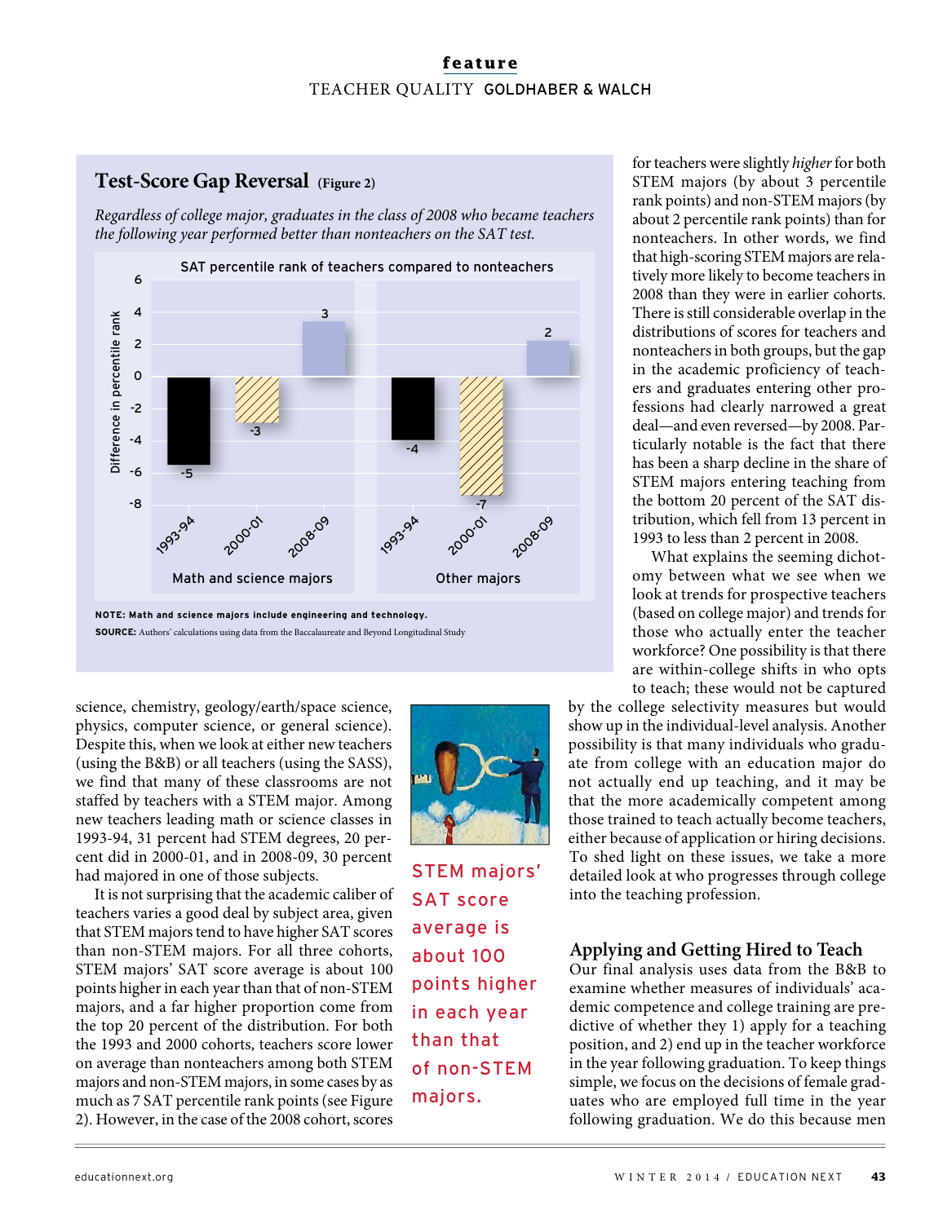# **feature** TEACHER QUALITY GOLDHABER & WALCH

# **Test-Score Gap Reversal (Figure 2)**

Regardless of college major, graduates in the class of 2008 who became teachers the following year performed better than nonteachers on the SAT test.



**NOTE: Math and science majors include engineering and technology. SOURCE:** Authors' calculations using data from the Baccalaureate and Beyond Longitudinal Study

science, chemistry, geology/earth/space science, physics, computer science, or general science). Despite this, when we look at either new teachers (using the B&B) or all teachers (using the SASS), we find that many of these classrooms are not staffed by teachers with a STEM major. Among new teachers leading math or science classes in 1993-94, 31 percent had STEM degrees, 20 percent did in 2000-01, and in 2008-09, 30 percent had majored in one of those subjects.

It is not surprising that the academic caliber of teachers varies a good deal by subject area, given that STEM majors tend to have higher SAT scores than non-STEM majors. For all three cohorts, STEM majors' SAT score average is about 100 points higher in each year than that of non-STEM majors, and a far higher proportion come from the top 20 percent of the distribution. For both the 1993 and 2000 cohorts, teachers score lower on average than nonteachers among both STEM majors and non-STEM majors, in some cases by as much as 7 SAT percentile rank points (see Figure 2). However, in the case of the 2008 cohort, scores



STEM majors' SAT score average is about 100 points higher in each year than that of non-STEM majors.

for teachers were slightly higher for both STEM majors (by about 3 percentile rank points) and non-STEM majors (by about 2 percentile rank points) than for nonteachers. In other words, we find that high-scoring STEM majors are relatively more likely to become teachers in 2008 than they were in earlier cohorts. There is still considerable overlap in the distributions of scores for teachers and nonteachers in both groups, but the gap in the academic proficiency of teachers and graduates entering other professions had clearly narrowed a great deal—and even reversed—by 2008. Particularly notable is the fact that there has been a sharp decline in the share of STEM majors entering teaching from the bottom 20 percent of the SAT distribution, which fell from 13 percent in 1993 to less than 2 percent in 2008.

What explains the seeming dichotomy between what we see when we look at trends for prospective teachers (based on college major) and trends for those who actually enter the teacher workforce? One possibility is that there are within-college shifts in who opts to teach; these would not be captured

by the college selectivity measures but would show up in the individual-level analysis. Another possibility is that many individuals who graduate from college with an education major do not actually end up teaching, and it may be that the more academically competent among those trained to teach actually become teachers, either because of application or hiring decisions. To shed light on these issues, we take a more detailed look at who progresses through college into the teaching profession.

# **Applying and Getting Hired to Teach**

Our final analysis uses data from the B&B to examine whether measures of individuals' academic competence and college training are predictive of whether they 1) apply for a teaching position, and 2) end up in the teacher workforce in the year following graduation. To keep things simple, we focus on the decisions of female graduates who are employed full time in the year following graduation. We do this because men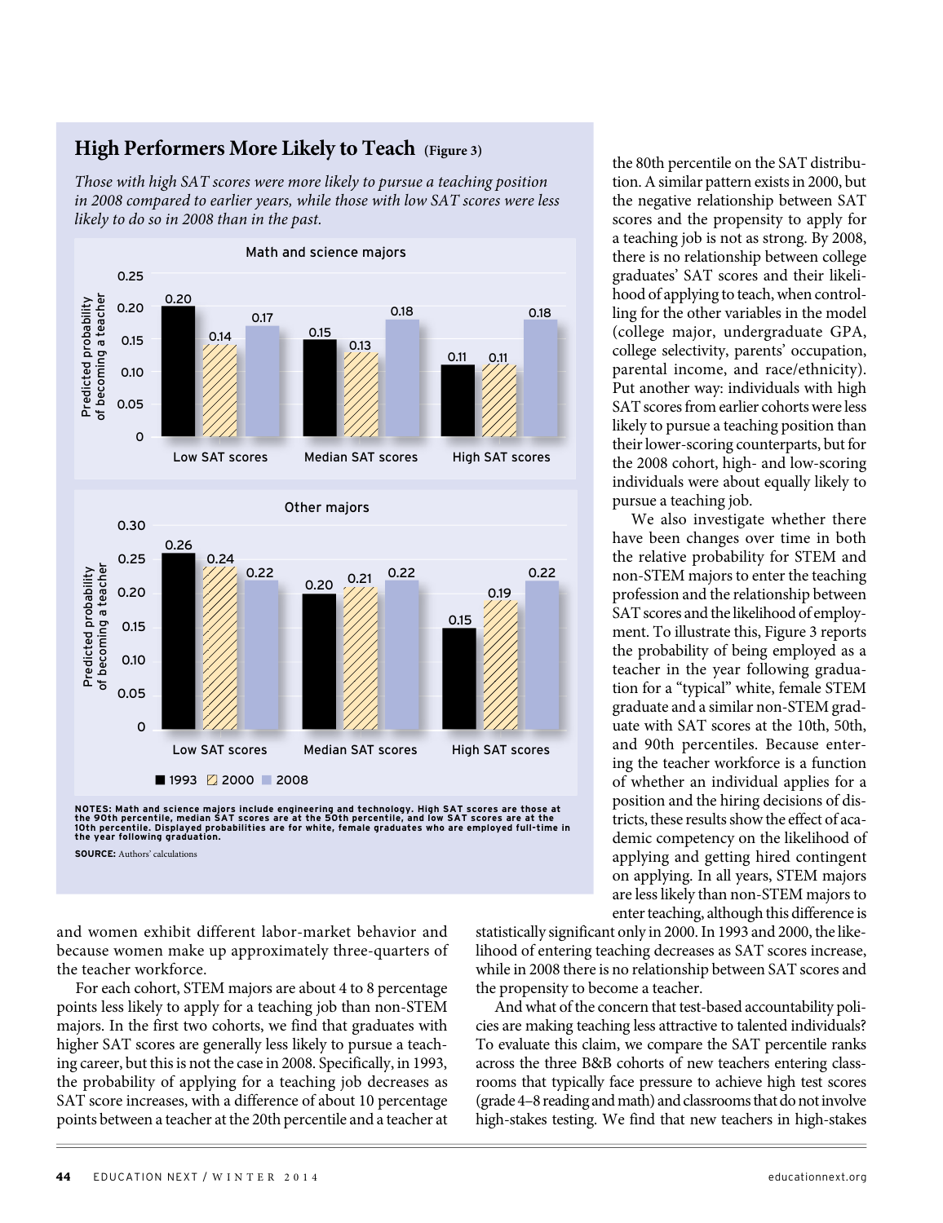### **High Performers More Likely to Teach (Figure 3)**

Those with high SAT scores were more likely to pursue a teaching position in 2008 compared to earlier years, while those with low SAT scores were less likely to do so in 2008 than in the past.



**SOURCE:** Authors' calculations

and women exhibit different labor-market behavior and because women make up approximately three-quarters of the teacher workforce.

For each cohort, STEM majors are about 4 to 8 percentage points less likely to apply for a teaching job than non-STEM majors. In the first two cohorts, we find that graduates with higher SAT scores are generally less likely to pursue a teaching career, but this is not the case in 2008. Specifically, in 1993, the probability of applying for a teaching job decreases as SAT score increases, with a difference of about 10 percentage points between a teacher at the 20th percentile and a teacher at the 80th percentile on the SAT distribution. A similar pattern exists in 2000, but the negative relationship between SAT scores and the propensity to apply for a teaching job is not as strong. By 2008, there is no relationship between college graduates' SAT scores and their likelihood of applying to teach, when controlling for the other variables in the model (college major, undergraduate GPA, college selectivity, parents' occupation, parental income, and race/ethnicity). Put another way: individuals with high SAT scores from earlier cohorts were less likely to pursue a teaching position than their lower-scoring counterparts, but for the 2008 cohort, high- and low-scoring individuals were about equally likely to pursue a teaching job.

We also investigate whether there have been changes over time in both the relative probability for STEM and non-STEM majors to enter the teaching profession and the relationship between SAT scores and the likelihood of employment. To illustrate this, Figure 3 reports the probability of being employed as a teacher in the year following graduation for a "typical" white, female STEM graduate and a similar non-STEM graduate with SAT scores at the 10th, 50th, and 90th percentiles. Because entering the teacher workforce is a function of whether an individual applies for a position and the hiring decisions of districts, these results show the effect of academic competency on the likelihood of applying and getting hired contingent on applying. In all years, STEM majors are less likely than non-STEM majors to enter teaching, although this difference is

statistically significant only in 2000. In 1993 and 2000, the likelihood of entering teaching decreases as SAT scores increase, while in 2008 there is no relationship between SAT scores and the propensity to become a teacher.

And what of the concern that test-based accountability policies are making teaching less attractive to talented individuals? To evaluate this claim, we compare the SAT percentile ranks across the three B&B cohorts of new teachers entering classrooms that typically face pressure to achieve high test scores (grade 4–8 reading and math) and classrooms that do not involve high-stakes testing. We find that new teachers in high-stakes